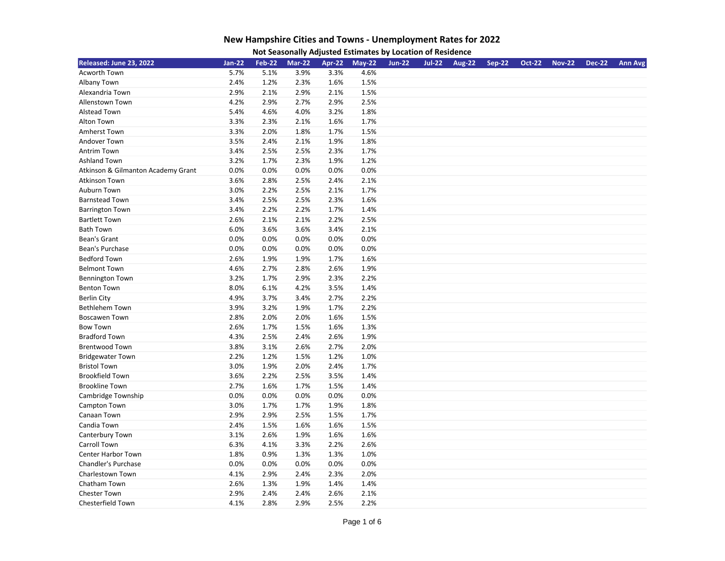| Not Seasonally Adjusted Estimates by Location of Residence |
|------------------------------------------------------------|
|                                                            |

| Released: June 23, 2022            | <b>Jan-22</b> | <b>Feb-22</b> | <b>Mar-22</b> | Apr-22 | $May-22$ | <b>Jun-22</b> | <b>Jul-22</b> | <b>Aug-22</b> | <b>Sep-22</b> | <b>Oct-22</b> | <b>Nov-22</b> | <b>Dec-22</b> | <b>Ann Avg</b> |
|------------------------------------|---------------|---------------|---------------|--------|----------|---------------|---------------|---------------|---------------|---------------|---------------|---------------|----------------|
| Acworth Town                       | 5.7%          | 5.1%          | 3.9%          | 3.3%   | 4.6%     |               |               |               |               |               |               |               |                |
| Albany Town                        | 2.4%          | 1.2%          | 2.3%          | 1.6%   | 1.5%     |               |               |               |               |               |               |               |                |
| Alexandria Town                    | 2.9%          | 2.1%          | 2.9%          | 2.1%   | 1.5%     |               |               |               |               |               |               |               |                |
| <b>Allenstown Town</b>             | 4.2%          | 2.9%          | 2.7%          | 2.9%   | 2.5%     |               |               |               |               |               |               |               |                |
| <b>Alstead Town</b>                | 5.4%          | 4.6%          | 4.0%          | 3.2%   | 1.8%     |               |               |               |               |               |               |               |                |
| Alton Town                         | 3.3%          | 2.3%          | 2.1%          | 1.6%   | 1.7%     |               |               |               |               |               |               |               |                |
| Amherst Town                       | 3.3%          | 2.0%          | 1.8%          | 1.7%   | 1.5%     |               |               |               |               |               |               |               |                |
| Andover Town                       | 3.5%          | 2.4%          | 2.1%          | 1.9%   | 1.8%     |               |               |               |               |               |               |               |                |
| <b>Antrim Town</b>                 | 3.4%          | 2.5%          | 2.5%          | 2.3%   | 1.7%     |               |               |               |               |               |               |               |                |
| <b>Ashland Town</b>                | 3.2%          | 1.7%          | 2.3%          | 1.9%   | 1.2%     |               |               |               |               |               |               |               |                |
| Atkinson & Gilmanton Academy Grant | 0.0%          | 0.0%          | 0.0%          | 0.0%   | 0.0%     |               |               |               |               |               |               |               |                |
| <b>Atkinson Town</b>               | 3.6%          | 2.8%          | 2.5%          | 2.4%   | 2.1%     |               |               |               |               |               |               |               |                |
| Auburn Town                        | 3.0%          | 2.2%          | 2.5%          | 2.1%   | 1.7%     |               |               |               |               |               |               |               |                |
| <b>Barnstead Town</b>              | 3.4%          | 2.5%          | 2.5%          | 2.3%   | 1.6%     |               |               |               |               |               |               |               |                |
| <b>Barrington Town</b>             | 3.4%          | 2.2%          | 2.2%          | 1.7%   | 1.4%     |               |               |               |               |               |               |               |                |
| <b>Bartlett Town</b>               | 2.6%          | 2.1%          | 2.1%          | 2.2%   | 2.5%     |               |               |               |               |               |               |               |                |
| <b>Bath Town</b>                   | 6.0%          | 3.6%          | 3.6%          | 3.4%   | 2.1%     |               |               |               |               |               |               |               |                |
| Bean's Grant                       | 0.0%          | 0.0%          | 0.0%          | 0.0%   | 0.0%     |               |               |               |               |               |               |               |                |
| Bean's Purchase                    | 0.0%          | 0.0%          | 0.0%          | 0.0%   | 0.0%     |               |               |               |               |               |               |               |                |
| <b>Bedford Town</b>                | 2.6%          | 1.9%          | 1.9%          | 1.7%   | 1.6%     |               |               |               |               |               |               |               |                |
| <b>Belmont Town</b>                | 4.6%          | 2.7%          | 2.8%          | 2.6%   | 1.9%     |               |               |               |               |               |               |               |                |
| <b>Bennington Town</b>             | 3.2%          | 1.7%          | 2.9%          | 2.3%   | 2.2%     |               |               |               |               |               |               |               |                |
| <b>Benton Town</b>                 | 8.0%          | 6.1%          | 4.2%          | 3.5%   | 1.4%     |               |               |               |               |               |               |               |                |
| <b>Berlin City</b>                 | 4.9%          | 3.7%          | 3.4%          | 2.7%   | 2.2%     |               |               |               |               |               |               |               |                |
| <b>Bethlehem Town</b>              | 3.9%          | 3.2%          | 1.9%          | 1.7%   | 2.2%     |               |               |               |               |               |               |               |                |
| <b>Boscawen Town</b>               | 2.8%          | 2.0%          | 2.0%          | 1.6%   | 1.5%     |               |               |               |               |               |               |               |                |
| <b>Bow Town</b>                    | 2.6%          | 1.7%          | 1.5%          | 1.6%   | 1.3%     |               |               |               |               |               |               |               |                |
| <b>Bradford Town</b>               | 4.3%          | 2.5%          | 2.4%          | 2.6%   | 1.9%     |               |               |               |               |               |               |               |                |
| <b>Brentwood Town</b>              | 3.8%          | 3.1%          | 2.6%          | 2.7%   | 2.0%     |               |               |               |               |               |               |               |                |
| <b>Bridgewater Town</b>            | 2.2%          | 1.2%          | 1.5%          | 1.2%   | 1.0%     |               |               |               |               |               |               |               |                |
| <b>Bristol Town</b>                | 3.0%          | 1.9%          | 2.0%          | 2.4%   | 1.7%     |               |               |               |               |               |               |               |                |
| <b>Brookfield Town</b>             | 3.6%          | 2.2%          | 2.5%          | 3.5%   | 1.4%     |               |               |               |               |               |               |               |                |
| <b>Brookline Town</b>              | 2.7%          | 1.6%          | 1.7%          | 1.5%   | 1.4%     |               |               |               |               |               |               |               |                |
| Cambridge Township                 | 0.0%          | 0.0%          | 0.0%          | 0.0%   | 0.0%     |               |               |               |               |               |               |               |                |
| Campton Town                       | 3.0%          | 1.7%          | 1.7%          | 1.9%   | 1.8%     |               |               |               |               |               |               |               |                |
| Canaan Town                        | 2.9%          | 2.9%          | 2.5%          | 1.5%   | 1.7%     |               |               |               |               |               |               |               |                |
| Candia Town                        | 2.4%          | 1.5%          | 1.6%          | 1.6%   | 1.5%     |               |               |               |               |               |               |               |                |
| Canterbury Town                    | 3.1%          | 2.6%          | 1.9%          | 1.6%   | 1.6%     |               |               |               |               |               |               |               |                |
| Carroll Town                       | 6.3%          | 4.1%          | 3.3%          | 2.2%   | 2.6%     |               |               |               |               |               |               |               |                |
| Center Harbor Town                 | 1.8%          | 0.9%          | 1.3%          | 1.3%   | 1.0%     |               |               |               |               |               |               |               |                |
| Chandler's Purchase                | 0.0%          | 0.0%          | 0.0%          | 0.0%   | 0.0%     |               |               |               |               |               |               |               |                |
| Charlestown Town                   | 4.1%          | 2.9%          | 2.4%          | 2.3%   | 2.0%     |               |               |               |               |               |               |               |                |
| Chatham Town                       | 2.6%          | 1.3%          | 1.9%          | 1.4%   | 1.4%     |               |               |               |               |               |               |               |                |
| <b>Chester Town</b>                | 2.9%          | 2.4%          | 2.4%          | 2.6%   | 2.1%     |               |               |               |               |               |               |               |                |
| Chesterfield Town                  | 4.1%          | 2.8%          | 2.9%          | 2.5%   | 2.2%     |               |               |               |               |               |               |               |                |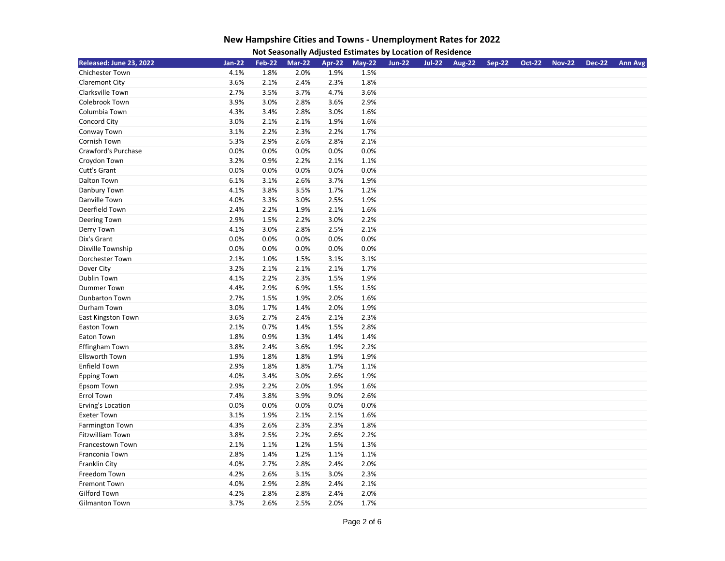| Not Seasonally Adjusted Estimates by Location of Residence |
|------------------------------------------------------------|
|                                                            |

| Released: June 23, 2022 | <b>Jan-22</b> | <b>Feb-22</b> | <b>Mar-22</b> | Apr-22 | $May-22$ | <b>Jun-22</b> | <b>Jul-22</b> | <b>Aug-22</b> | <b>Sep-22</b> | <b>Oct-22</b> | <b>Nov-22</b> | <b>Dec-22</b> | <b>Ann Avg</b> |
|-------------------------|---------------|---------------|---------------|--------|----------|---------------|---------------|---------------|---------------|---------------|---------------|---------------|----------------|
| <b>Chichester Town</b>  | 4.1%          | 1.8%          | 2.0%          | 1.9%   | 1.5%     |               |               |               |               |               |               |               |                |
| Claremont City          | 3.6%          | 2.1%          | 2.4%          | 2.3%   | 1.8%     |               |               |               |               |               |               |               |                |
| Clarksville Town        | 2.7%          | 3.5%          | 3.7%          | 4.7%   | 3.6%     |               |               |               |               |               |               |               |                |
| Colebrook Town          | 3.9%          | 3.0%          | 2.8%          | 3.6%   | 2.9%     |               |               |               |               |               |               |               |                |
| Columbia Town           | 4.3%          | 3.4%          | 2.8%          | 3.0%   | 1.6%     |               |               |               |               |               |               |               |                |
| Concord City            | 3.0%          | 2.1%          | 2.1%          | 1.9%   | 1.6%     |               |               |               |               |               |               |               |                |
| Conway Town             | 3.1%          | 2.2%          | 2.3%          | 2.2%   | 1.7%     |               |               |               |               |               |               |               |                |
| Cornish Town            | 5.3%          | 2.9%          | 2.6%          | 2.8%   | 2.1%     |               |               |               |               |               |               |               |                |
| Crawford's Purchase     | 0.0%          | 0.0%          | 0.0%          | 0.0%   | 0.0%     |               |               |               |               |               |               |               |                |
| Croydon Town            | 3.2%          | 0.9%          | 2.2%          | 2.1%   | 1.1%     |               |               |               |               |               |               |               |                |
| Cutt's Grant            | 0.0%          | 0.0%          | 0.0%          | 0.0%   | 0.0%     |               |               |               |               |               |               |               |                |
| Dalton Town             | 6.1%          | 3.1%          | 2.6%          | 3.7%   | 1.9%     |               |               |               |               |               |               |               |                |
| Danbury Town            | 4.1%          | 3.8%          | 3.5%          | 1.7%   | 1.2%     |               |               |               |               |               |               |               |                |
| Danville Town           | 4.0%          | 3.3%          | 3.0%          | 2.5%   | 1.9%     |               |               |               |               |               |               |               |                |
| Deerfield Town          | 2.4%          | 2.2%          | 1.9%          | 2.1%   | 1.6%     |               |               |               |               |               |               |               |                |
| Deering Town            | 2.9%          | 1.5%          | 2.2%          | 3.0%   | 2.2%     |               |               |               |               |               |               |               |                |
| Derry Town              | 4.1%          | 3.0%          | 2.8%          | 2.5%   | 2.1%     |               |               |               |               |               |               |               |                |
| Dix's Grant             | 0.0%          | 0.0%          | 0.0%          | 0.0%   | 0.0%     |               |               |               |               |               |               |               |                |
| Dixville Township       | 0.0%          | 0.0%          | 0.0%          | 0.0%   | 0.0%     |               |               |               |               |               |               |               |                |
| Dorchester Town         | 2.1%          | 1.0%          | 1.5%          | 3.1%   | 3.1%     |               |               |               |               |               |               |               |                |
| Dover City              | 3.2%          | 2.1%          | 2.1%          | 2.1%   | 1.7%     |               |               |               |               |               |               |               |                |
| Dublin Town             | 4.1%          | 2.2%          | 2.3%          | 1.5%   | 1.9%     |               |               |               |               |               |               |               |                |
| Dummer Town             | 4.4%          | 2.9%          | 6.9%          | 1.5%   | 1.5%     |               |               |               |               |               |               |               |                |
| <b>Dunbarton Town</b>   | 2.7%          | 1.5%          | 1.9%          | 2.0%   | 1.6%     |               |               |               |               |               |               |               |                |
| Durham Town             | 3.0%          | 1.7%          | 1.4%          | 2.0%   | 1.9%     |               |               |               |               |               |               |               |                |
| East Kingston Town      | 3.6%          | 2.7%          | 2.4%          | 2.1%   | 2.3%     |               |               |               |               |               |               |               |                |
| <b>Easton Town</b>      | 2.1%          | 0.7%          | 1.4%          | 1.5%   | 2.8%     |               |               |               |               |               |               |               |                |
| Eaton Town              | 1.8%          | 0.9%          | 1.3%          | 1.4%   | 1.4%     |               |               |               |               |               |               |               |                |
| Effingham Town          | 3.8%          | 2.4%          | 3.6%          | 1.9%   | 2.2%     |               |               |               |               |               |               |               |                |
| <b>Ellsworth Town</b>   | 1.9%          | 1.8%          | 1.8%          | 1.9%   | 1.9%     |               |               |               |               |               |               |               |                |
| <b>Enfield Town</b>     | 2.9%          | 1.8%          | 1.8%          | 1.7%   | 1.1%     |               |               |               |               |               |               |               |                |
| <b>Epping Town</b>      | 4.0%          | 3.4%          | 3.0%          | 2.6%   | 1.9%     |               |               |               |               |               |               |               |                |
| Epsom Town              | 2.9%          | 2.2%          | 2.0%          | 1.9%   | 1.6%     |               |               |               |               |               |               |               |                |
| <b>Errol Town</b>       | 7.4%          | 3.8%          | 3.9%          | 9.0%   | 2.6%     |               |               |               |               |               |               |               |                |
| Erving's Location       | 0.0%          | 0.0%          | 0.0%          | 0.0%   | 0.0%     |               |               |               |               |               |               |               |                |
| <b>Exeter Town</b>      | 3.1%          | 1.9%          | 2.1%          | 2.1%   | 1.6%     |               |               |               |               |               |               |               |                |
| Farmington Town         | 4.3%          | 2.6%          | 2.3%          | 2.3%   | 1.8%     |               |               |               |               |               |               |               |                |
| <b>Fitzwilliam Town</b> | 3.8%          | 2.5%          | 2.2%          | 2.6%   | 2.2%     |               |               |               |               |               |               |               |                |
| Francestown Town        | 2.1%          | 1.1%          | 1.2%          | 1.5%   | 1.3%     |               |               |               |               |               |               |               |                |
| Franconia Town          | 2.8%          | 1.4%          | 1.2%          | 1.1%   | 1.1%     |               |               |               |               |               |               |               |                |
| Franklin City           | 4.0%          | 2.7%          | 2.8%          | 2.4%   | 2.0%     |               |               |               |               |               |               |               |                |
| Freedom Town            | 4.2%          | 2.6%          | 3.1%          | 3.0%   | 2.3%     |               |               |               |               |               |               |               |                |
| Fremont Town            | 4.0%          | 2.9%          | 2.8%          | 2.4%   | 2.1%     |               |               |               |               |               |               |               |                |
| <b>Gilford Town</b>     | 4.2%          | 2.8%          | 2.8%          | 2.4%   | 2.0%     |               |               |               |               |               |               |               |                |
| Gilmanton Town          | 3.7%          | 2.6%          | 2.5%          | 2.0%   | 1.7%     |               |               |               |               |               |               |               |                |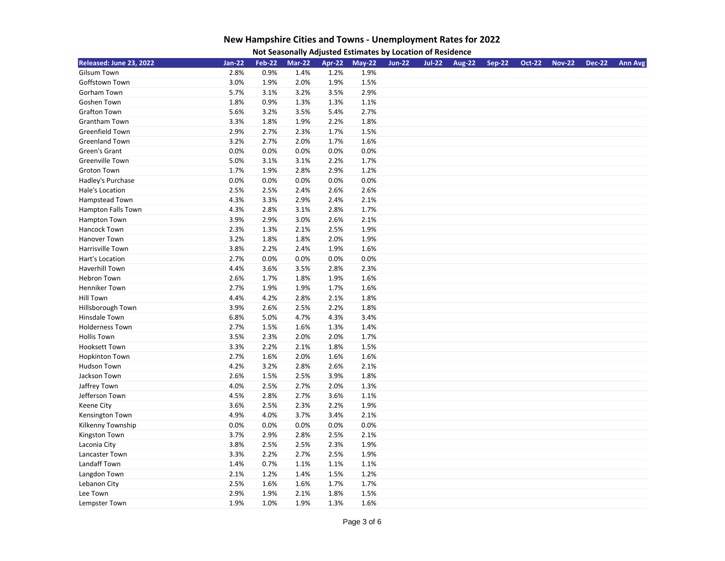| Released: June 23, 2022 | $Jan-22$ | <b>Feb-22</b> | <b>Mar-22</b> | Apr-22 | <b>May-22</b> | <b>Jun-22</b> | <b>Jul-22</b> | <b>Aug-22</b> | <b>Sep-22</b> | <b>Oct-22</b> | <b>Nov-22</b> | <b>Dec-22</b> | <b>Ann Avg</b> |
|-------------------------|----------|---------------|---------------|--------|---------------|---------------|---------------|---------------|---------------|---------------|---------------|---------------|----------------|
| <b>Gilsum Town</b>      | 2.8%     | 0.9%          | 1.4%          | 1.2%   | 1.9%          |               |               |               |               |               |               |               |                |
| Goffstown Town          | 3.0%     | 1.9%          | 2.0%          | 1.9%   | 1.5%          |               |               |               |               |               |               |               |                |
| Gorham Town             | 5.7%     | 3.1%          | 3.2%          | 3.5%   | 2.9%          |               |               |               |               |               |               |               |                |
| Goshen Town             | 1.8%     | 0.9%          | 1.3%          | 1.3%   | 1.1%          |               |               |               |               |               |               |               |                |
| <b>Grafton Town</b>     | 5.6%     | 3.2%          | 3.5%          | 5.4%   | 2.7%          |               |               |               |               |               |               |               |                |
| Grantham Town           | 3.3%     | 1.8%          | 1.9%          | 2.2%   | 1.8%          |               |               |               |               |               |               |               |                |
| Greenfield Town         | 2.9%     | 2.7%          | 2.3%          | 1.7%   | 1.5%          |               |               |               |               |               |               |               |                |
| <b>Greenland Town</b>   | 3.2%     | 2.7%          | 2.0%          | 1.7%   | 1.6%          |               |               |               |               |               |               |               |                |
| Green's Grant           | 0.0%     | 0.0%          | 0.0%          | 0.0%   | 0.0%          |               |               |               |               |               |               |               |                |
| <b>Greenville Town</b>  | 5.0%     | 3.1%          | 3.1%          | 2.2%   | 1.7%          |               |               |               |               |               |               |               |                |
| <b>Groton Town</b>      | 1.7%     | 1.9%          | 2.8%          | 2.9%   | 1.2%          |               |               |               |               |               |               |               |                |
| Hadley's Purchase       | 0.0%     | 0.0%          | 0.0%          | 0.0%   | 0.0%          |               |               |               |               |               |               |               |                |
| Hale's Location         | 2.5%     | 2.5%          | 2.4%          | 2.6%   | 2.6%          |               |               |               |               |               |               |               |                |
| Hampstead Town          | 4.3%     | 3.3%          | 2.9%          | 2.4%   | 2.1%          |               |               |               |               |               |               |               |                |
| Hampton Falls Town      | 4.3%     | 2.8%          | 3.1%          | 2.8%   | 1.7%          |               |               |               |               |               |               |               |                |
| Hampton Town            | 3.9%     | 2.9%          | 3.0%          | 2.6%   | 2.1%          |               |               |               |               |               |               |               |                |
| Hancock Town            | 2.3%     | 1.3%          | 2.1%          | 2.5%   | 1.9%          |               |               |               |               |               |               |               |                |
| Hanover Town            | 3.2%     | 1.8%          | 1.8%          | 2.0%   | 1.9%          |               |               |               |               |               |               |               |                |
| Harrisville Town        | 3.8%     | 2.2%          | 2.4%          | 1.9%   | 1.6%          |               |               |               |               |               |               |               |                |
| Hart's Location         | 2.7%     | 0.0%          | 0.0%          | 0.0%   | 0.0%          |               |               |               |               |               |               |               |                |
| Haverhill Town          | 4.4%     | 3.6%          | 3.5%          | 2.8%   | 2.3%          |               |               |               |               |               |               |               |                |
| <b>Hebron Town</b>      | 2.6%     | 1.7%          | 1.8%          | 1.9%   | 1.6%          |               |               |               |               |               |               |               |                |
| Henniker Town           | 2.7%     | 1.9%          | 1.9%          | 1.7%   | 1.6%          |               |               |               |               |               |               |               |                |
| <b>Hill Town</b>        | 4.4%     | 4.2%          | 2.8%          | 2.1%   | 1.8%          |               |               |               |               |               |               |               |                |
| Hillsborough Town       | 3.9%     | 2.6%          | 2.5%          | 2.2%   | 1.8%          |               |               |               |               |               |               |               |                |
| Hinsdale Town           | 6.8%     | 5.0%          | 4.7%          | 4.3%   | 3.4%          |               |               |               |               |               |               |               |                |
| <b>Holderness Town</b>  | 2.7%     | 1.5%          | 1.6%          | 1.3%   | 1.4%          |               |               |               |               |               |               |               |                |
| <b>Hollis Town</b>      | 3.5%     | 2.3%          | 2.0%          | 2.0%   | 1.7%          |               |               |               |               |               |               |               |                |
| <b>Hooksett Town</b>    | 3.3%     | 2.2%          | 2.1%          | 1.8%   | 1.5%          |               |               |               |               |               |               |               |                |
| <b>Hopkinton Town</b>   | 2.7%     | 1.6%          | 2.0%          | 1.6%   | 1.6%          |               |               |               |               |               |               |               |                |
| Hudson Town             | 4.2%     | 3.2%          | 2.8%          | 2.6%   | 2.1%          |               |               |               |               |               |               |               |                |
| Jackson Town            | 2.6%     | 1.5%          | 2.5%          | 3.9%   | 1.8%          |               |               |               |               |               |               |               |                |
| Jaffrey Town            | 4.0%     | 2.5%          | 2.7%          | 2.0%   | 1.3%          |               |               |               |               |               |               |               |                |
| Jefferson Town          | 4.5%     | 2.8%          | 2.7%          | 3.6%   | 1.1%          |               |               |               |               |               |               |               |                |
| Keene City              | 3.6%     | 2.5%          | 2.3%          | 2.2%   | 1.9%          |               |               |               |               |               |               |               |                |
| Kensington Town         | 4.9%     | 4.0%          | 3.7%          | 3.4%   | 2.1%          |               |               |               |               |               |               |               |                |
| Kilkenny Township       | 0.0%     | 0.0%          | 0.0%          | 0.0%   | 0.0%          |               |               |               |               |               |               |               |                |
| Kingston Town           | 3.7%     | 2.9%          | 2.8%          | 2.5%   | 2.1%          |               |               |               |               |               |               |               |                |
| Laconia City            | 3.8%     | 2.5%          | 2.5%          | 2.3%   | 1.9%          |               |               |               |               |               |               |               |                |
| Lancaster Town          | 3.3%     | 2.2%          | 2.7%          | 2.5%   | 1.9%          |               |               |               |               |               |               |               |                |
| Landaff Town            | 1.4%     | 0.7%          | 1.1%          | 1.1%   | 1.1%          |               |               |               |               |               |               |               |                |
| Langdon Town            | 2.1%     | 1.2%          | 1.4%          | 1.5%   | 1.2%          |               |               |               |               |               |               |               |                |
| Lebanon City            | 2.5%     | 1.6%          | 1.6%          | 1.7%   | 1.7%          |               |               |               |               |               |               |               |                |
| Lee Town                | 2.9%     | 1.9%          | 2.1%          | 1.8%   | 1.5%          |               |               |               |               |               |               |               |                |
| Lempster Town           | 1.9%     | 1.0%          | 1.9%          | 1.3%   | 1.6%          |               |               |               |               |               |               |               |                |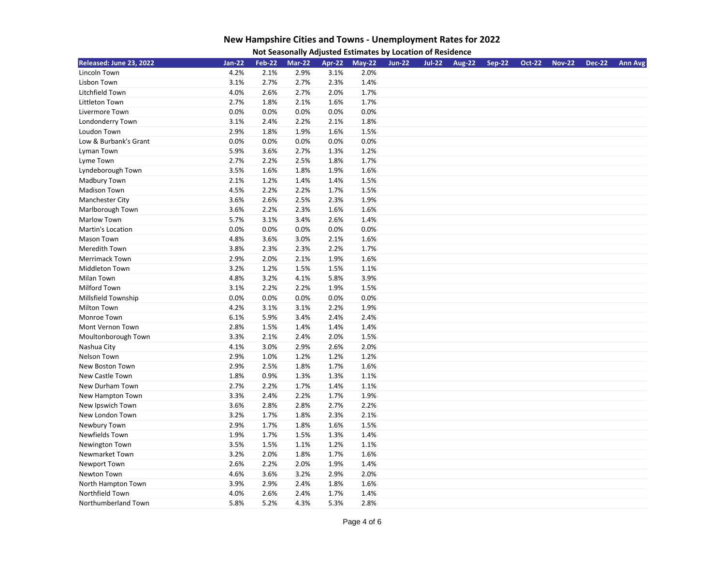| Not Seasonally Adjusted Estimates by Location of Residence |
|------------------------------------------------------------|
|                                                            |

| Released: June 23, 2022 | Jan-22 | <b>Feb-22</b> | <b>Mar-22</b> | Apr-22 | <b>May-22</b> | <b>Jun-22</b> | <b>Jul-22</b> | <b>Aug-22</b> | <b>Sep-22</b> | <b>Oct-22</b> | <b>Nov-22</b> | <b>Dec-22</b> | <b>Ann Avg</b> |
|-------------------------|--------|---------------|---------------|--------|---------------|---------------|---------------|---------------|---------------|---------------|---------------|---------------|----------------|
| Lincoln Town            | 4.2%   | 2.1%          | 2.9%          | 3.1%   | 2.0%          |               |               |               |               |               |               |               |                |
| Lisbon Town             | 3.1%   | 2.7%          | 2.7%          | 2.3%   | 1.4%          |               |               |               |               |               |               |               |                |
| Litchfield Town         | 4.0%   | 2.6%          | 2.7%          | 2.0%   | 1.7%          |               |               |               |               |               |               |               |                |
| Littleton Town          | 2.7%   | 1.8%          | 2.1%          | 1.6%   | 1.7%          |               |               |               |               |               |               |               |                |
| Livermore Town          | 0.0%   | 0.0%          | 0.0%          | 0.0%   | 0.0%          |               |               |               |               |               |               |               |                |
| Londonderry Town        | 3.1%   | 2.4%          | 2.2%          | 2.1%   | 1.8%          |               |               |               |               |               |               |               |                |
| Loudon Town             | 2.9%   | 1.8%          | 1.9%          | 1.6%   | 1.5%          |               |               |               |               |               |               |               |                |
| Low & Burbank's Grant   | 0.0%   | 0.0%          | 0.0%          | 0.0%   | 0.0%          |               |               |               |               |               |               |               |                |
| Lyman Town              | 5.9%   | 3.6%          | 2.7%          | 1.3%   | 1.2%          |               |               |               |               |               |               |               |                |
| Lyme Town               | 2.7%   | 2.2%          | 2.5%          | 1.8%   | 1.7%          |               |               |               |               |               |               |               |                |
| Lyndeborough Town       | 3.5%   | 1.6%          | 1.8%          | 1.9%   | 1.6%          |               |               |               |               |               |               |               |                |
| Madbury Town            | 2.1%   | 1.2%          | 1.4%          | 1.4%   | 1.5%          |               |               |               |               |               |               |               |                |
| <b>Madison Town</b>     | 4.5%   | 2.2%          | 2.2%          | 1.7%   | 1.5%          |               |               |               |               |               |               |               |                |
| Manchester City         | 3.6%   | 2.6%          | 2.5%          | 2.3%   | 1.9%          |               |               |               |               |               |               |               |                |
| Marlborough Town        | 3.6%   | 2.2%          | 2.3%          | 1.6%   | 1.6%          |               |               |               |               |               |               |               |                |
| Marlow Town             | 5.7%   | 3.1%          | 3.4%          | 2.6%   | 1.4%          |               |               |               |               |               |               |               |                |
| Martin's Location       | 0.0%   | 0.0%          | 0.0%          | 0.0%   | 0.0%          |               |               |               |               |               |               |               |                |
| Mason Town              | 4.8%   | 3.6%          | 3.0%          | 2.1%   | 1.6%          |               |               |               |               |               |               |               |                |
| Meredith Town           | 3.8%   | 2.3%          | 2.3%          | 2.2%   | 1.7%          |               |               |               |               |               |               |               |                |
| <b>Merrimack Town</b>   | 2.9%   | 2.0%          | 2.1%          | 1.9%   | 1.6%          |               |               |               |               |               |               |               |                |
| Middleton Town          | 3.2%   | 1.2%          | 1.5%          | 1.5%   | 1.1%          |               |               |               |               |               |               |               |                |
| Milan Town              | 4.8%   | 3.2%          | 4.1%          | 5.8%   | 3.9%          |               |               |               |               |               |               |               |                |
| Milford Town            | 3.1%   | 2.2%          | 2.2%          | 1.9%   | 1.5%          |               |               |               |               |               |               |               |                |
| Millsfield Township     | 0.0%   | 0.0%          | 0.0%          | 0.0%   | 0.0%          |               |               |               |               |               |               |               |                |
| Milton Town             | 4.2%   | 3.1%          | 3.1%          | 2.2%   | 1.9%          |               |               |               |               |               |               |               |                |
| Monroe Town             | 6.1%   | 5.9%          | 3.4%          | 2.4%   | 2.4%          |               |               |               |               |               |               |               |                |
| Mont Vernon Town        | 2.8%   | 1.5%          | 1.4%          | 1.4%   | 1.4%          |               |               |               |               |               |               |               |                |
| Moultonborough Town     | 3.3%   | 2.1%          | 2.4%          | 2.0%   | 1.5%          |               |               |               |               |               |               |               |                |
| Nashua City             | 4.1%   | 3.0%          | 2.9%          | 2.6%   | 2.0%          |               |               |               |               |               |               |               |                |
| Nelson Town             | 2.9%   | 1.0%          | 1.2%          | 1.2%   | 1.2%          |               |               |               |               |               |               |               |                |
| <b>New Boston Town</b>  | 2.9%   | 2.5%          | 1.8%          | 1.7%   | 1.6%          |               |               |               |               |               |               |               |                |
| New Castle Town         | 1.8%   | 0.9%          | 1.3%          | 1.3%   | 1.1%          |               |               |               |               |               |               |               |                |
| New Durham Town         | 2.7%   | 2.2%          | 1.7%          | 1.4%   | 1.1%          |               |               |               |               |               |               |               |                |
| New Hampton Town        | 3.3%   | 2.4%          | 2.2%          | 1.7%   | 1.9%          |               |               |               |               |               |               |               |                |
| New Ipswich Town        | 3.6%   | 2.8%          | 2.8%          | 2.7%   | 2.2%          |               |               |               |               |               |               |               |                |
| New London Town         | 3.2%   | 1.7%          | 1.8%          | 2.3%   | 2.1%          |               |               |               |               |               |               |               |                |
| Newbury Town            | 2.9%   | 1.7%          | 1.8%          | 1.6%   | 1.5%          |               |               |               |               |               |               |               |                |
| Newfields Town          | 1.9%   | 1.7%          | 1.5%          | 1.3%   | 1.4%          |               |               |               |               |               |               |               |                |
| Newington Town          | 3.5%   | 1.5%          | 1.1%          | 1.2%   | 1.1%          |               |               |               |               |               |               |               |                |
| Newmarket Town          | 3.2%   | 2.0%          | 1.8%          | 1.7%   | 1.6%          |               |               |               |               |               |               |               |                |
| Newport Town            | 2.6%   | 2.2%          | 2.0%          | 1.9%   | 1.4%          |               |               |               |               |               |               |               |                |
| Newton Town             | 4.6%   | 3.6%          | 3.2%          | 2.9%   | 2.0%          |               |               |               |               |               |               |               |                |
| North Hampton Town      | 3.9%   | 2.9%          | 2.4%          | 1.8%   | 1.6%          |               |               |               |               |               |               |               |                |
| Northfield Town         | 4.0%   | 2.6%          | 2.4%          | 1.7%   | 1.4%          |               |               |               |               |               |               |               |                |
| Northumberland Town     | 5.8%   | 5.2%          | 4.3%          | 5.3%   | 2.8%          |               |               |               |               |               |               |               |                |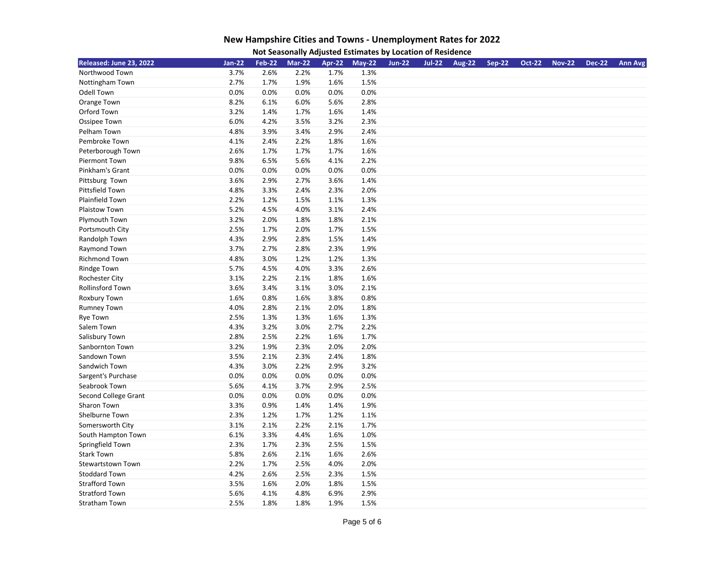| Not Seasonally Adjusted Estimates by Location of Residence |
|------------------------------------------------------------|
|                                                            |

| Released: June 23, 2022  | <b>Jan-22</b> | <b>Feb-22</b> | <b>Mar-22</b> | Apr-22 | $May-22$ | <b>Jun-22</b> | <b>Jul-22</b> | <b>Aug-22</b> | <b>Sep-22</b> | <b>Oct-22</b> | <b>Nov-22</b> | <b>Dec-22</b> | <b>Ann Avg</b> |
|--------------------------|---------------|---------------|---------------|--------|----------|---------------|---------------|---------------|---------------|---------------|---------------|---------------|----------------|
| Northwood Town           | 3.7%          | 2.6%          | 2.2%          | 1.7%   | 1.3%     |               |               |               |               |               |               |               |                |
| Nottingham Town          | 2.7%          | 1.7%          | 1.9%          | 1.6%   | 1.5%     |               |               |               |               |               |               |               |                |
| Odell Town               | 0.0%          | 0.0%          | 0.0%          | 0.0%   | 0.0%     |               |               |               |               |               |               |               |                |
| Orange Town              | 8.2%          | 6.1%          | 6.0%          | 5.6%   | 2.8%     |               |               |               |               |               |               |               |                |
| Orford Town              | 3.2%          | 1.4%          | 1.7%          | 1.6%   | 1.4%     |               |               |               |               |               |               |               |                |
| Ossipee Town             | 6.0%          | 4.2%          | 3.5%          | 3.2%   | 2.3%     |               |               |               |               |               |               |               |                |
| Pelham Town              | 4.8%          | 3.9%          | 3.4%          | 2.9%   | 2.4%     |               |               |               |               |               |               |               |                |
| Pembroke Town            | 4.1%          | 2.4%          | 2.2%          | 1.8%   | 1.6%     |               |               |               |               |               |               |               |                |
| Peterborough Town        | 2.6%          | 1.7%          | 1.7%          | 1.7%   | 1.6%     |               |               |               |               |               |               |               |                |
| Piermont Town            | 9.8%          | 6.5%          | 5.6%          | 4.1%   | 2.2%     |               |               |               |               |               |               |               |                |
| Pinkham's Grant          | 0.0%          | 0.0%          | 0.0%          | 0.0%   | 0.0%     |               |               |               |               |               |               |               |                |
| Pittsburg Town           | 3.6%          | 2.9%          | 2.7%          | 3.6%   | 1.4%     |               |               |               |               |               |               |               |                |
| Pittsfield Town          | 4.8%          | 3.3%          | 2.4%          | 2.3%   | 2.0%     |               |               |               |               |               |               |               |                |
| Plainfield Town          | 2.2%          | 1.2%          | 1.5%          | 1.1%   | 1.3%     |               |               |               |               |               |               |               |                |
| Plaistow Town            | 5.2%          | 4.5%          | 4.0%          | 3.1%   | 2.4%     |               |               |               |               |               |               |               |                |
| Plymouth Town            | 3.2%          | 2.0%          | 1.8%          | 1.8%   | 2.1%     |               |               |               |               |               |               |               |                |
| Portsmouth City          | 2.5%          | 1.7%          | 2.0%          | 1.7%   | 1.5%     |               |               |               |               |               |               |               |                |
| Randolph Town            | 4.3%          | 2.9%          | 2.8%          | 1.5%   | 1.4%     |               |               |               |               |               |               |               |                |
| Raymond Town             | 3.7%          | 2.7%          | 2.8%          | 2.3%   | 1.9%     |               |               |               |               |               |               |               |                |
| <b>Richmond Town</b>     | 4.8%          | 3.0%          | 1.2%          | 1.2%   | 1.3%     |               |               |               |               |               |               |               |                |
| Rindge Town              | 5.7%          | 4.5%          | 4.0%          | 3.3%   | 2.6%     |               |               |               |               |               |               |               |                |
| Rochester City           | 3.1%          | 2.2%          | 2.1%          | 1.8%   | 1.6%     |               |               |               |               |               |               |               |                |
| Rollinsford Town         | 3.6%          | 3.4%          | 3.1%          | 3.0%   | 2.1%     |               |               |               |               |               |               |               |                |
| Roxbury Town             | 1.6%          | 0.8%          | 1.6%          | 3.8%   | 0.8%     |               |               |               |               |               |               |               |                |
| <b>Rumney Town</b>       | 4.0%          | 2.8%          | 2.1%          | 2.0%   | 1.8%     |               |               |               |               |               |               |               |                |
| <b>Rye Town</b>          | 2.5%          | 1.3%          | 1.3%          | 1.6%   | 1.3%     |               |               |               |               |               |               |               |                |
| Salem Town               | 4.3%          | 3.2%          | 3.0%          | 2.7%   | 2.2%     |               |               |               |               |               |               |               |                |
| Salisbury Town           | 2.8%          | 2.5%          | 2.2%          | 1.6%   | 1.7%     |               |               |               |               |               |               |               |                |
| Sanbornton Town          | 3.2%          | 1.9%          | 2.3%          | 2.0%   | 2.0%     |               |               |               |               |               |               |               |                |
| Sandown Town             | 3.5%          | 2.1%          | 2.3%          | 2.4%   | 1.8%     |               |               |               |               |               |               |               |                |
| Sandwich Town            | 4.3%          | 3.0%          | 2.2%          | 2.9%   | 3.2%     |               |               |               |               |               |               |               |                |
| Sargent's Purchase       | 0.0%          | 0.0%          | 0.0%          | 0.0%   | 0.0%     |               |               |               |               |               |               |               |                |
| Seabrook Town            | 5.6%          | 4.1%          | 3.7%          | 2.9%   | 2.5%     |               |               |               |               |               |               |               |                |
| Second College Grant     | 0.0%          | 0.0%          | 0.0%          | 0.0%   | 0.0%     |               |               |               |               |               |               |               |                |
| Sharon Town              | 3.3%          | 0.9%          | 1.4%          | 1.4%   | 1.9%     |               |               |               |               |               |               |               |                |
| Shelburne Town           | 2.3%          | 1.2%          | 1.7%          | 1.2%   | 1.1%     |               |               |               |               |               |               |               |                |
| Somersworth City         | 3.1%          | 2.1%          | 2.2%          | 2.1%   | 1.7%     |               |               |               |               |               |               |               |                |
| South Hampton Town       | 6.1%          | 3.3%          | 4.4%          | 1.6%   | 1.0%     |               |               |               |               |               |               |               |                |
| Springfield Town         | 2.3%          | 1.7%          | 2.3%          | 2.5%   | 1.5%     |               |               |               |               |               |               |               |                |
| <b>Stark Town</b>        | 5.8%          | 2.6%          | 2.1%          | 1.6%   | 2.6%     |               |               |               |               |               |               |               |                |
| <b>Stewartstown Town</b> | 2.2%          | 1.7%          | 2.5%          | 4.0%   | 2.0%     |               |               |               |               |               |               |               |                |
| <b>Stoddard Town</b>     | 4.2%          | 2.6%          | 2.5%          | 2.3%   | 1.5%     |               |               |               |               |               |               |               |                |
| <b>Strafford Town</b>    | 3.5%          | 1.6%          | 2.0%          | 1.8%   | 1.5%     |               |               |               |               |               |               |               |                |
| <b>Stratford Town</b>    | 5.6%          | 4.1%          | 4.8%          | 6.9%   | 2.9%     |               |               |               |               |               |               |               |                |
| <b>Stratham Town</b>     | 2.5%          | 1.8%          | 1.8%          | 1.9%   | 1.5%     |               |               |               |               |               |               |               |                |